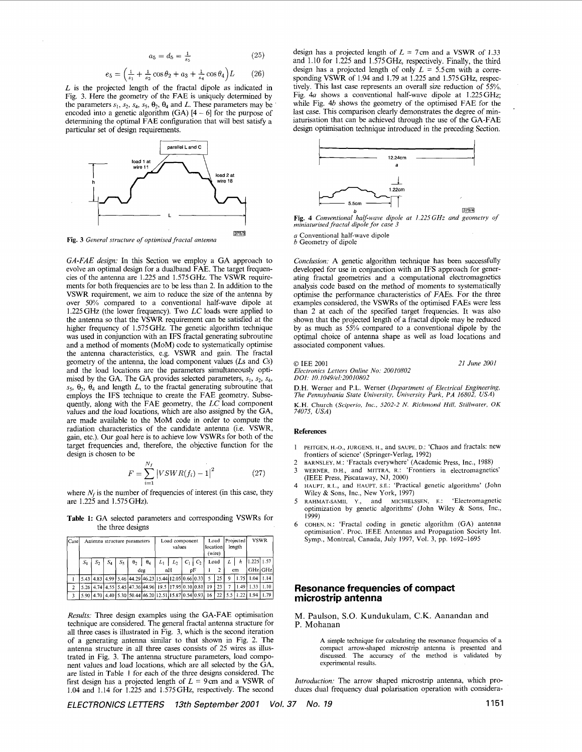$$
a_5 = d_5 = \frac{1}{s_5} \tag{25}
$$

$$
e_5 = \left(\frac{1}{s_1} + \frac{1}{s_2}\cos\theta_2 + a_3 + \frac{1}{s_4}\cos\theta_4\right)L \tag{26}
$$

<span id="page-0-0"></span>*L* is the projected length of the fractal dipole as indicated in [Fig. 3.](#page-1-0) Here the geometry of the FAE is uniquely determined by the parameters  $s_1$ ,  $s_2$ ,  $s_4$ ,  $s_5$ ,  $\theta_2$ ,  $\theta_4$  and *L*. These parameters may be encoded into a genetic algorithm  $(GA)$  [4 - 6] for the purpose of determining the optimal FAE configuration that will best satisfy a particular set of design requirements.



**[Fig.](#page-1-0) 3** *General structure of optimised fractal antenna* 

GA-FAE design: In this Section we employ a GA approach to evolve an optimal design for a dualband FAE. The target frequencies of the antenna are 1.225 and 1.575 GHz. The VSWR requirements for both frequencies are to be less than 2. In addition to the VSWR requirement, we aim to reduce the size of the antenna by over 50% compared to a conventional half-wave dipole at  $1.225$  GHz (the lower frequency). Two LC loads were applied to the antenna so that the VSWR requirement can be satisfied at the higher frequency of 1.575 GHz. The genetic algorithm technique was used in conjunction with an IFS fractal generating subroutine and a method of moments (MoM) code to systematically optimise the antenna characteristics, e.g. VSWR and gain. The fractal geometry of the antenna, the load component values (Ls and Cs) and the load locations are the parameters simultaneously optimised by the GA. The GA provides selected parameters,  $s_1$ ,  $s_2$ ,  $s_4$ ,  $s_5$ ,  $\theta_2$ ,  $\theta_4$  and length L, to the fractal generating subroutine that employs the IFS technique to create the FAE geometry. Subsequently, along with the FAE geometry, the LC load component values and the load locations, which are also assigned by the GA, are made available to the MoM code in order to compute the radiation characteristics of the candidate antenna (i.e. VSWR, gain, etc.). Our goal here is to achieve low VSWRs for both of the target frequencies and, therefore, the objective function for the design is chosen to be

$$
F = \sum_{i=1}^{N_f} |VSWR(f_i) - 1|^2 \tag{27}
$$

where  $N_f$  is the number of frequencies of interest (in this case, they are 1.225 and 1.575 GHz).

Table 1: GA selected parameters and corresponding VSWRs for the three designs

| <b>Case</b> | Antenna structure parameters |    |       |    |                                                       |            | Load component<br>values |       |       |                | Load<br>location<br>(wire) |    | Projected<br>length |                      | <b>VSWR</b> |       |
|-------------|------------------------------|----|-------|----|-------------------------------------------------------|------------|--------------------------|-------|-------|----------------|----------------------------|----|---------------------|----------------------|-------------|-------|
|             | $S_1$                        | S, | $S_4$ | S, | $\theta$                                              | $\theta_4$ | $L_1$                    | $L_2$ | $C_1$ | C <sub>2</sub> | Load                       |    |                     | h                    | 1.225 1.57  |       |
|             |                              |    |       |    | deg                                                   |            | nH                       |       | υF    |                |                            |    | $cm$                |                      | GHz GHz     |       |
|             |                              |    |       |    | 5.43 4.83 4.99 5.46 44.29 46.23 15.44 12.05 0.66 0.33 |            |                          |       |       |                | 5                          | 25 | q                   | 1.75                 | 1.04        | 1.14  |
| 2           |                              |    |       |    | 5.26 4.74 4.55 5.45 47.36 44.96 19.5 17.95 0.10 0.81  |            |                          |       |       |                | 19                         | 23 |                     | 149                  | 1.33        | 1.10. |
|             |                              |    |       |    | 5.90 4.70 4.40 5.30 50.44 46.20 12.51 15.87 0.54 0.93 |            |                          |       |       |                | 16 <sup>2</sup>            | 22 |                     | $15.5$   1.22   1.94 |             | 1.79  |

*Results:* Three design examples using the GA-FAE optimisation technique are considered. The general fractal antenna structure for all three cases is illustrated in Fig. 3, which is the second iteration of a generating antenna similar to that shown in [Fig. 2.](#page-1-0) The antenna structure in all three cases consists of 25 wires as illustrated in [Fig. 3.](#page-1-0) The antenna structure parameters, load component values and load locations, which are all selected by the CA, are listed in Table **1** for each of the three designs considered. The first design has a projected length of  $L = 9$  cm and a VSWR of 1.04 and 1.14 for 1.225 and 1.575GHz, respectively. The second

design has a projected length of  $L = 7$  cm and a VSWR of 1.33 and 1.10 for 1.225 and 1.575GHz, respectively. Finally, the third design has a projected length of only  $L = 5.5$  cm with a corresponding VSWR of 1.94 and 1 *.I9* at 1.225 and 1.575 **GHz,** respectively. This last case represents an overall size reduction of *55%.*  Fig. 4a shows a conventional half-wave dipole at 1.225GHz; while Fig. 4b shows the geometry of the optimised FAE for the last case. This comparison clearly demonstrates the degree of miniaturisation that can be achieved through the use of the GA-FAE design optimisation technique introduced in the preceding Section.



**Fig. 4** *Conventional half-wave dipole at I.225GHz and geometry of miniaturised fractal dipole for case 3* 

*a* Conventional half-wave dipole *b* Geometry of dipole

*Conclusion:* A genetic algorithm technique has been successfully developed for use in conjunction with an IFS approach for generating fractal geometries and a computational electromagnetics analysis code based on the method of moments to systematically optimise the performance characteristics of **FAEs.** For the three examples considered, the VSWRs of the optimised FAEs were less than 2 at each of the specified target frequencies. It was also shown that the projected length of a fractal dipole may be reduced by as much as *55%* compared to a conventional dipole by the optimal choice of antenna shape as well as load locations and associated component values.

*0* IEE 2001

*Electronics Letters Online No: 20010802 DOI: I0.1049/el:20010802* 

*21 June 2001* 

D.H. Werner and P.L. Werner *(Department of Electrical Engineering, The Pennsylvania State University, University Park, PA 16802, USA)*  **K.H. Church** *(Sciperio, Inc., 5202-2 N. Richmond Hill, Stillwater, OK* 

*74075, USA)* 

## **References**

- PEITGEN, H.-o., JURGENS, H., and SAUPE, D.: 'Chaos and fractals: new frontiers of science' (Springer-Verlag, 1992)
- BARNSLEY, M.: 'Fractals everywhere' (Academic Press, Inc., 1988)
- WERNER, D.H., and MITTRA, R.: 'Frontiers in electromagnetics' (IEEE Press, Piscataway, NJ, 2000)
- HAUPT, R L., and HAUPT, **S.E.:** 'Practical genetic algorithms' (John Wiley & Sons, Inc., New York, 1997)
- 5 RAHMAT-SAMII, Y., and MICHIELSSEN, E.: 'Electromagnetic optimization by genetic algorithms' (John Wiley  $\&$  Sons, Inc., 1999)
- COHEN, N.: 'Fractal coding in genetic algorithm (GA) antenna optimisation'. Proc. IEEE Antennas and Propagation Society Int. Symp., Montreal, Canada, July 1997, Vol. **3,** pp. 1692-1695

## **Resonance frequencies of compact microstrip antenna**

M. Paulson, **S.O.** Kundukulam, C.K. Aanandan and P. Mohanan

> **A** simple technique for calculating the resonance frequencies of a compact arrow-shaped microstrip antenna is presented and discussed. The accuracy of the method is validated by experimental results.

*Introduction:* The arrow shaped microstrip antenna, which produces dual frequency dual polarisation operation with considera-

*ELECTRONICS LETTERS 13th September 2001 Vol. 37 No. I9 1151*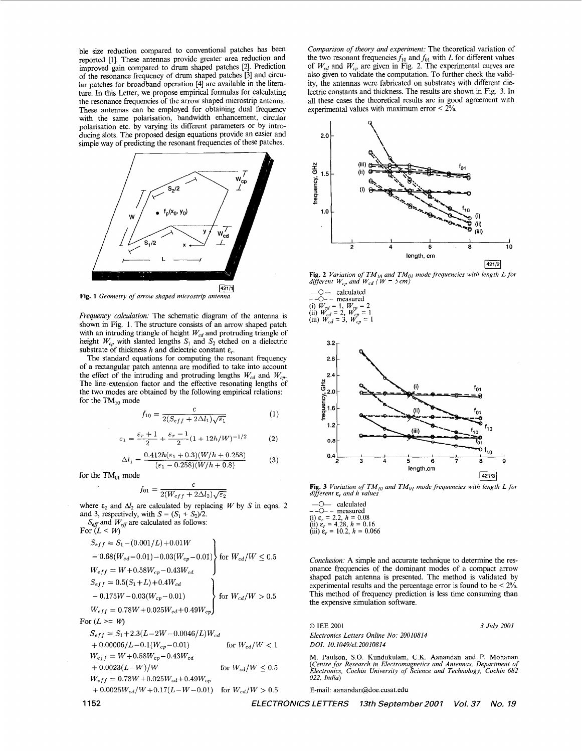<span id="page-1-0"></span>ble size reduction compared to conventional patches has been reported [I]. These antennas provide greater area reduction and improved gain compared to drum shaped patches *[2].* Prediction of the resonance frequency of drum shaped patches [3] and circular patches for broadband operation **[4]** are available in the literature. In this Letter, we propose empirical formulas for calculating the resonance frequencies of the arrow shaped microstrip antenna. These antennas can be employed for obtaining dual frequency with the same polarisation, bandwidth enhancement, circular polarisation etc. by varying its different parameters or by introducing slots. The proposed design equations provide an easier and simple way of predicting the resonant frequencies of these patches.



**Fig. 1** *Geometry of arrow shaped microstrip antenna* 

*Frequency calculation:* The schematic diagram of the antenna is shown in Fig. 1. The structure consists of an arrow shaped patch with an intruding triangle of height *W<sub>cd</sub>* and protruding triangle of height  $W_{cp}$  with slanted lengths  $S_1$  and  $S_2$  etched on a dielectric substrate of thickness *h* and dielectric constant  $\varepsilon_r$ .

The standard equations for computing the resonant frequency of a rectangular patch antenna are modified to take into account the effect of the intruding and protruding lengths  $W_{cd}$  and  $W_{cp}$ . The line extension factor and the effective resonating lengths of the two modes are obtained by the following empirical relations: for the  $TM_{10}$  mode

$$
f_{10} = \frac{c}{2(S_{eff} + 2\Delta l_1)\sqrt{\varepsilon_1}}\tag{1}
$$

$$
\varepsilon_1=\frac{\varepsilon_r+1}{2}+\frac{\varepsilon_r-1}{2}(1+12h/W)^{-1/2}\qquad \quad (2)
$$

$$
\Delta l_1 = \frac{0.412h(\varepsilon_1 + 0.3)(W/h + 0.258)}{(\varepsilon_1 - 0.258)(W/h + 0.8)}\tag{3}
$$

for the  $TM_{01}$  mode

$$
f_{01} = \frac{c}{2(W_{eff} + 2\Delta l_2)\sqrt{\varepsilon_2}}
$$

where  $\varepsilon_2$  and  $\Delta l_2$  are calculated by replacing *W* by *S* in eqns. 2 and 3, respectively, with  $S = (S_1 + S_2)/2$ .

*Sen* and *Wen* are calculated as follows:

For 
$$
(L < W)
$$
  
\n
$$
S_{eff} = S_1 - (0.001/L) + 0.01W
$$
\n
$$
- 0.68(W_{cd} - 0.01) - 0.03(W_{cp} - 0.01)
$$
\nfor  $W_{cd}/W \le 0.5$   
\n
$$
W_{eff} = W + 0.58W_{cp} - 0.43W_{cd}
$$
\n
$$
S_{eff} = 0.5(S_1 + L) + 0.4W_{cd}
$$
\n
$$
- 0.175W - 0.03(W_{cp} - 0.01)
$$
\nfor  $W_{cd}/W > 0.5$ 

$$
W_{eff}=0.78W\!+\!0.025W_{cd}\!+\!0.49W_{cp}\Big)
$$

For  $(L \geq W)$ 

$$
S_{eff} = S_1 + 2.3(L - 2W - 0.0046/L)W_{cd}
$$
  
\n+ 0.00006/L - 0.1(W<sub>cp</sub> - 0.01) for W<sub>cd</sub>/W < 1  
\n
$$
W_{eff} = W + 0.58W_{cp} - 0.43W_{cd}
$$
  
\n+ 0.0023(L-W)/W for W<sub>cd</sub>/W < 0.5  
\n(Center f)  
\nW<sub>eff</sub> = 0.78W + 0.025W<sub>cd</sub> + 0.49W<sub>cp</sub>  
\n+ 0.0025W<sub>cd</sub>/W + 0.17(L-W - 0.01) for W<sub>cd</sub>/W > 0.5  
\nE-mail: a

*Comparison of theory and experiment:* The theoretical variation of the two resonant frequencies  $f_{10}$  and  $f_{01}$  with *L* for different values of  $W_{cd}$  and  $W_{cp}$  are given in Fig. 2. The experimental curves are also given to validate the computation. To further check the validity, the antennas were fabricated on substrates with different dielectric constants and thickness. The results are shown in Fig. 3. In all these cases the theoretical results are in good agreement with experimental values with maximum error  $\leq 2\%$ .



**Fig. 2** *Variation of TM<sub>10</sub> and TM<sub>01</sub> mode frequencies with length L for different*  $W_{cp}$  *and*  $W_{cd}$  *(* $W = 5$  *cm)* 





*different* **E,** *and h values* 

-0- calculated - -0- - measured (i) **E,** = 2.2, *h* = *0.08*  (ii) **E,** = **4.28,** *h* = 0.16 (iii) **E,** = 10.2, *h* = 0.066

*Conclusion:* **A** simple and accurate technique to determine the resonance frequencies of the dominant modes of a compact arrow shaped patch antenna is presented. The method is validated by experimental results and the percentage error is found to be < 2%. This method of frequency prediction is less time consuming than the expensive simulation software.

*0* IEE 2001 *Electronics Letters Online No: 20010814 DOI: IO.I049/el:20010814* 

M. Paulson, *S.O.* Kundukulam, C.K. Aanandan and P. Mohanan *(Centre for Research in Electromagnetics and Antennas, Department of Electronics, Cochin University of Science and Technology, Cochin 682 022, India)* 

*3 July 2001* 

E-mail: [aanandan@doe.cusat.edu](mailto:aanandan@doe.cusat.edu) 

**1152** *ELECTRONICS LETTERS 13th September 2001 Vol. 37 No. 19*